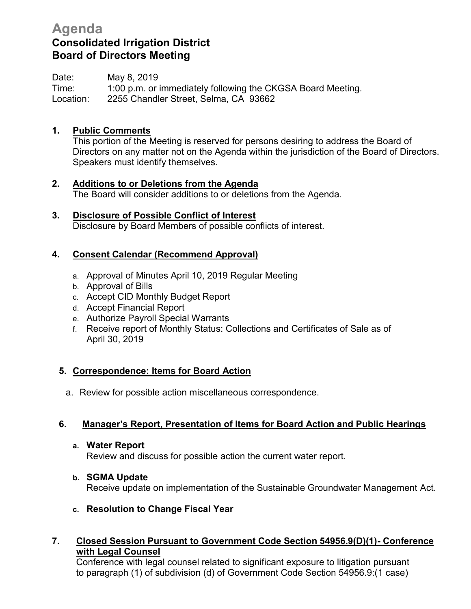# **Agenda Consolidated Irrigation District Board of Directors Meeting**

Date: May 8, 2019 Time: 1:00 p.m. or immediately following the CKGSA Board Meeting. Location: 2255 Chandler Street, Selma, CA 93662

## **1. Public Comments**

This portion of the Meeting is reserved for persons desiring to address the Board of Directors on any matter not on the Agenda within the jurisdiction of the Board of Directors. Speakers must identify themselves.

- **2. Additions to or Deletions from the Agenda** The Board will consider additions to or deletions from the Agenda.
- **3. Disclosure of Possible Conflict of Interest** Disclosure by Board Members of possible conflicts of interest.

#### **4. Consent Calendar (Recommend Approval)**

- a. Approval of Minutes April 10, 2019 Regular Meeting
- b. Approval of Bills
- c. Accept CID Monthly Budget Report
- d. Accept Financial Report
- e. Authorize Payroll Special Warrants
- f. Receive report of Monthly Status: Collections and Certificates of Sale as of April 30, 2019

## **5. Correspondence: Items for Board Action**

a. Review for possible action miscellaneous correspondence.

## **6. Manager's Report, Presentation of Items for Board Action and Public Hearings**

**a. Water Report**

Review and discuss for possible action the current water report.

#### **b. SGMA Update**

Receive update on implementation of the Sustainable Groundwater Management Act.

**c. Resolution to Change Fiscal Year**

#### **7. Closed Session Pursuant to Government Code Section 54956.9(D)(1)- Conference with Legal Counsel**

 Conference with legal counsel related to significant exposure to litigation pursuant to paragraph (1) of subdivision (d) of Government Code Section 54956.9:(1 case)